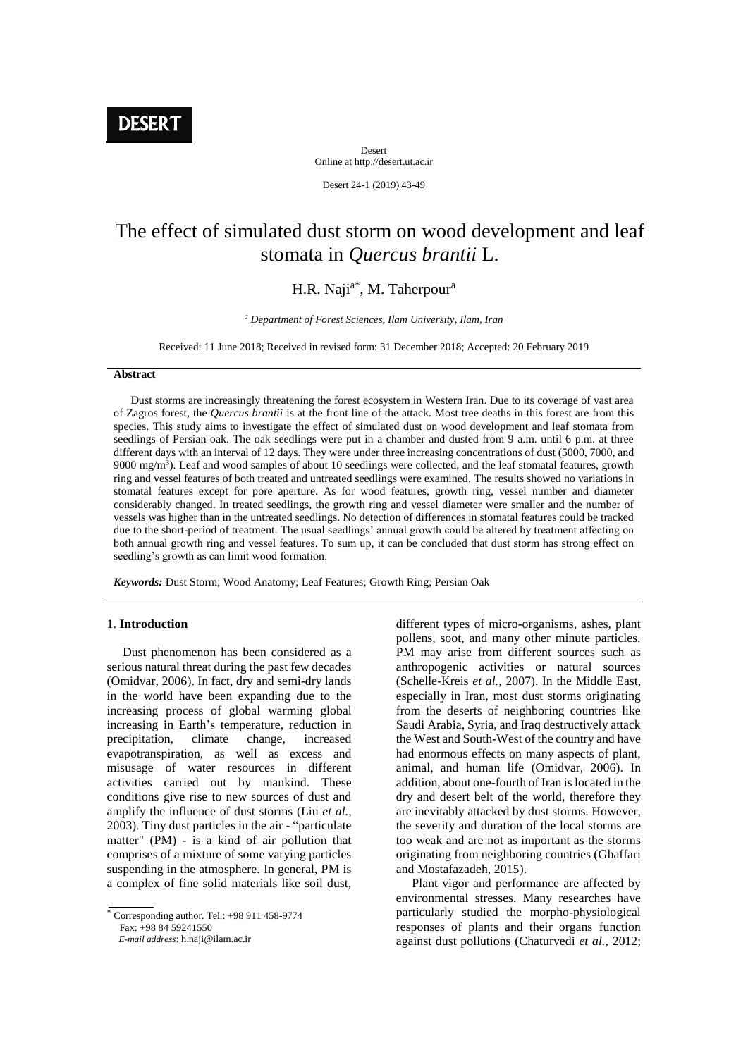**DESERT** 

Desert Online at http://desert.ut.ac.ir

Desert 24-1 (2019) 43-49

# The effect of simulated dust storm on wood development and leaf stomata in *Quercus brantii* L.

# H.R. Naji<sup>a\*</sup>, M. Taherpour<sup>a</sup>

*<sup>a</sup> Department of Forest Sciences, Ilam University, Ilam, Iran*

Received: 11 June 2018; Received in revised form: 31 December 2018; Accepted: 20 February 2019

#### **Abstract**

 Dust storms are increasingly threatening the forest ecosystem in Western Iran. Due to its coverage of vast area of Zagros forest, the *Quercus brantii* is at the front line of the attack. Most tree deaths in this forest are from this species. This study aims to investigate the effect of simulated dust on wood development and leaf stomata from seedlings of Persian oak. The oak seedlings were put in a chamber and dusted from 9 a.m. until 6 p.m. at three different days with an interval of 12 days. They were under three increasing concentrations of dust (5000, 7000, and 9000 mg/m<sup>3</sup>). Leaf and wood samples of about 10 seedlings were collected, and the leaf stomatal features, growth ring and vessel features of both treated and untreated seedlings were examined. The results showed no variations in stomatal features except for pore aperture. As for wood features, growth ring, vessel number and diameter considerably changed. In treated seedlings, the growth ring and vessel diameter were smaller and the number of vessels was higher than in the untreated seedlings. No detection of differences in stomatal features could be tracked due to the short-period of treatment. The usual seedlings' annual growth could be altered by treatment affecting on both annual growth ring and vessel features. To sum up, it can be concluded that dust storm has strong effect on seedling's growth as can limit wood formation.

*Keywords:* Dust Storm; Wood Anatomy; Leaf Features; Growth Ring; Persian Oak

## 1. **Introduction**

 Dust phenomenon has been considered as a serious natural threat during the past few decades (Omidvar, 2006). In fact, dry and semi-dry lands in the world have been expanding due to the increasing process of global warming global increasing in Earth's temperature, reduction in precipitation, climate change, increased evapotranspiration, as well as excess and misusage of water resources in different activities carried out by mankind. These conditions give rise to new sources of dust and amplify the influence of dust storms (Liu *et al.,* 2003). Tiny dust particles in the air - "particulate matter" (PM) - is a kind of air pollution that comprises of a mixture of some varying particles suspending in the atmosphere. In general, PM is a complex of fine solid materials like soil dust,

Corresponding author. Tel.: +98 911 458-9774

Fax: +98 84 59241550

 *E-mail address*: h.naji@ilam.ac.ir

different types of micro-organisms, ashes, plant pollens, soot, and many other minute particles. PM may arise from different sources such as anthropogenic activities or natural sources (Schelle-Kreis *et al.*, 2007). In the Middle East, especially in Iran, most dust storms originating from the deserts of neighboring countries like Saudi Arabia, Syria, and Iraq destructively attack the West and South-West of the country and have had enormous effects on many aspects of plant, animal, and human life (Omidvar, 2006). In addition, about one-fourth of Iran is located in the dry and desert belt of the world, therefore they are inevitably attacked by dust storms. However, the severity and duration of the local storms are too weak and are not as important as the storms originating from neighboring countries (Ghaffari and Mostafazadeh, 2015).

 Plant vigor and performance are affected by environmental stresses. Many researches have particularly studied the morpho-physiological responses of plants and their organs function against dust pollutions (Chaturvedi *et al.*, 2012;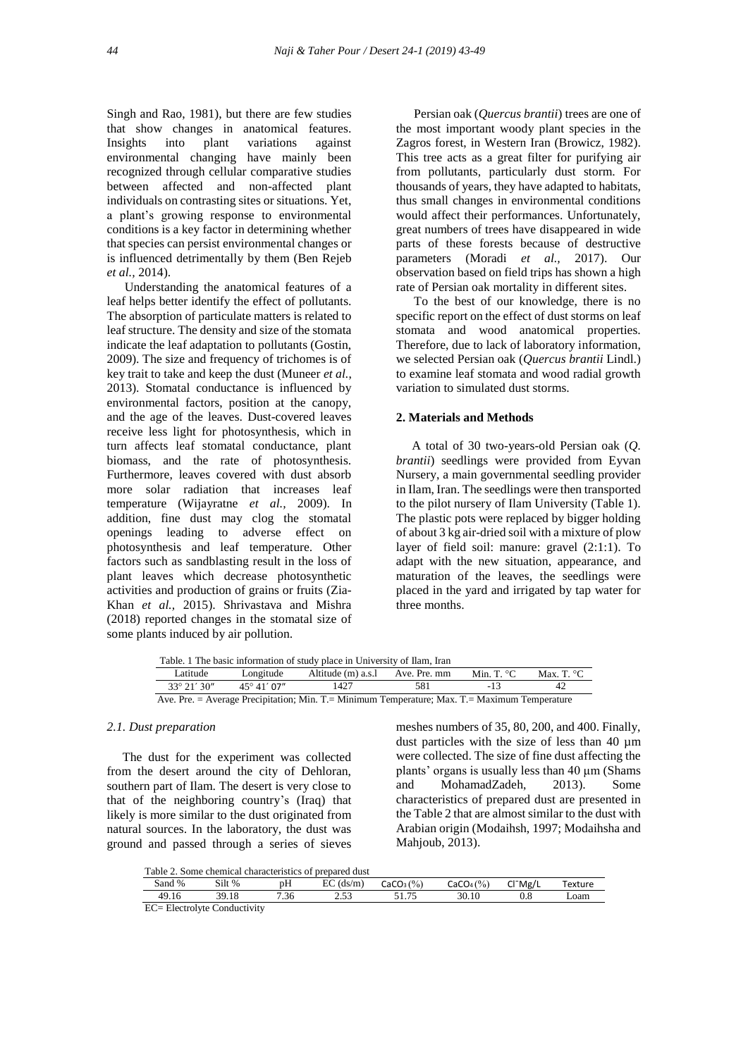Singh and Rao, 1981), but there are few studies that show changes in anatomical features. Insights into plant variations against environmental changing have mainly been recognized through cellular comparative studies between affected and non-affected plant individuals on contrasting sites or situations. Yet, a plant's growing response to environmental conditions is a key factor in determining whether that species can persist environmental changes or is influenced detrimentally by them (Ben Rejeb *et al.,* 2014).

Understanding the anatomical features of a leaf helps better identify the effect of pollutants. The absorption of particulate matters is related to leaf structure. The density and size of the stomata indicate the leaf adaptation to pollutants (Gostin, 2009). The size and frequency of trichomes is of key trait to take and keep the dust (Muneer *et al.*, 2013). Stomatal conductance is influenced by environmental factors, position at the canopy, and the age of the leaves. Dust-covered leaves receive less light for photosynthesis, which in turn affects leaf stomatal conductance, plant biomass, and the rate of photosynthesis. Furthermore, leaves covered with dust absorb more solar radiation that increases leaf temperature (Wijayratne *et al.,* 2009). In addition, fine dust may clog the stomatal openings leading to adverse effect on photosynthesis and leaf temperature. Other factors such as sandblasting result in the loss of plant leaves which decrease photosynthetic activities and production of grains or fruits (Zia-Khan *et al.,* 2015). Shrivastava and Mishra (2018) reported changes in the stomatal size of some plants induced by air pollution.

Persian oak (*Quercus brantii*) trees are one of the most important woody plant species in the Zagros forest, in Western Iran (Browicz, 1982). This tree acts as a great filter for purifying air from pollutants, particularly dust storm. For thousands of years, they have adapted to habitats, thus small changes in environmental conditions would affect their performances. Unfortunately, great numbers of trees have disappeared in wide parts of these forests because of destructive parameters (Moradi *et al.,* 2017). Our observation based on field trips has shown a high rate of Persian oak mortality in different sites.

To the best of our knowledge, there is no specific report on the effect of dust storms on leaf stomata and wood anatomical properties. Therefore, due to lack of laboratory information, we selected Persian oak (*Quercus brantii* Lindl.) to examine leaf stomata and wood radial growth variation to simulated dust storms.

# **2. Materials and Methods**

 A total of 30 two-years-old Persian oak (*Q. brantii*) seedlings were provided from Eyvan Nursery, a main governmental seedling provider in Ilam, Iran. The seedlings were then transported to the pilot nursery of Ilam University (Table 1). The plastic pots were replaced by bigger holding of about 3 kg air-dried soil with a mixture of plow layer of field soil: manure: gravel (2:1:1). To adapt with the new situation, appearance, and maturation of the leaves, the seedlings were placed in the yard and irrigated by tap water for three months.

|                      |                     | Table. 1 The basic information of study place in University of Ilam, Iran                       |     |                      |                      |
|----------------------|---------------------|-------------------------------------------------------------------------------------------------|-----|----------------------|----------------------|
| Latitude             | Longitude           | Altitude (m) a.s.l Ave. Pre. mm                                                                 |     | Min. T. $\degree$ C. | Max. T. $^{\circ}$ C |
| $33^{\circ}$ 21' 30" | $45^{\circ}41'$ 07" | 1427                                                                                            | 581 |                      | 42                   |
|                      |                     | Ave. Pre. = Average Precipitation; Min. T. = Minimum Temperature; Max. T. = Maximum Temperature |     |                      |                      |

#### *2.1. Dust preparation*

 The dust for the experiment was collected from the desert around the city of Dehloran, southern part of Ilam. The desert is very close to that of the neighboring country's (Iraq) that likely is more similar to the dust originated from natural sources. In the laboratory, the dust was ground and passed through a series of sieves

meshes numbers of 35, 80, 200, and 400. Finally, dust particles with the size of less than 40 µm were collected. The size of fine dust affecting the plants' organs is usually less than 40 μm (Shams and MohamadZadeh, 2013). Some characteristics of prepared dust are presented in the Table 2 that are almost similar to the dust with Arabian origin (Modaihsh, 1997; Modaihsha and Mahjoub, 2013).

Table 2. Some chemical characteristics of prepared dust

| $\sim$<br>$\frac{1}{6}$<br>sand " | Silt % | $\sim$ $\sim$<br>рH | EС<br>(ds/m)         | (9/0)<br>$\sim$<br>CaCO <sub>3</sub> | (0/0)<br>CaCO <sub>4</sub> | CI <sup>-</sup> Mg/L | 'exture |
|-----------------------------------|--------|---------------------|----------------------|--------------------------------------|----------------------------|----------------------|---------|
| 49.16                             | 39.18  | $\sim$<br>.36       | $\epsilon$<br>ت سے ب | $\overline{\phantom{a}}$<br>.<br>◡   | 30.10                      | $\Omega$<br>v.o      | Loam    |
| $\sim$<br>T1                      |        |                     |                      |                                      |                            |                      |         |

EC= Electrolyte Conductivity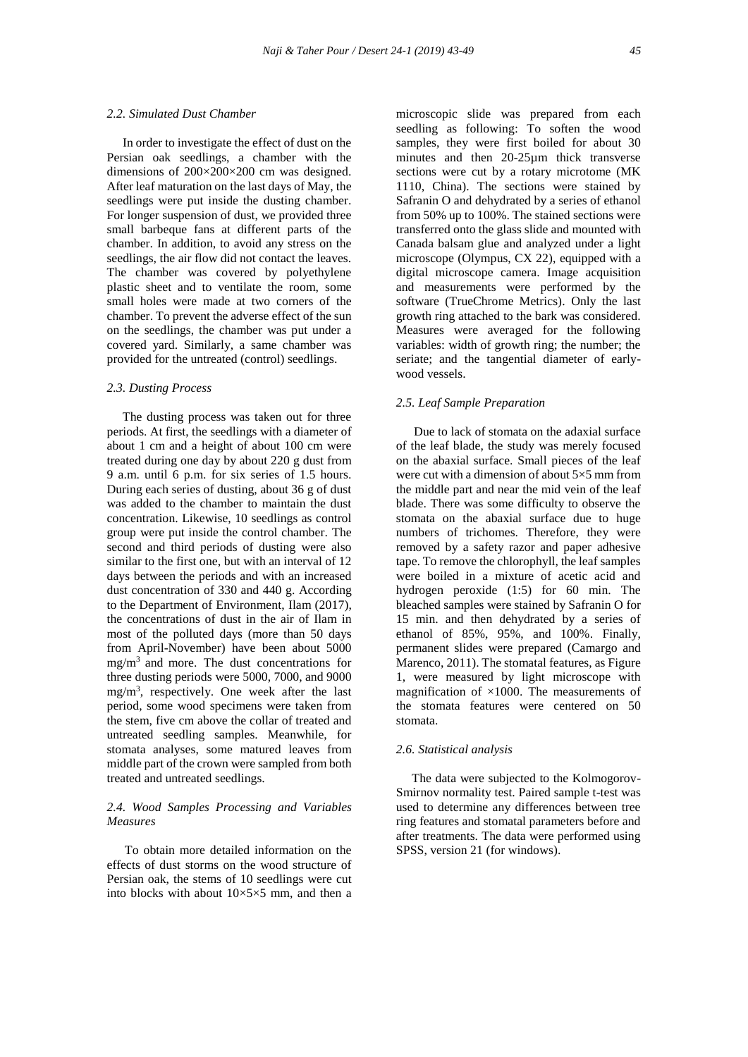#### *2.2. Simulated Dust Chamber*

 In order to investigate the effect of dust on the Persian oak seedlings, a chamber with the dimensions of 200×200×200 cm was designed. After leaf maturation on the last days of May, the seedlings were put inside the dusting chamber. For longer suspension of dust, we provided three small barbeque fans at different parts of the chamber. In addition, to avoid any stress on the seedlings, the air flow did not contact the leaves. The chamber was covered by polyethylene plastic sheet and to ventilate the room, some small holes were made at two corners of the chamber. To prevent the adverse effect of the sun on the seedlings, the chamber was put under a covered yard. Similarly, a same chamber was provided for the untreated (control) seedlings.

#### *2.3. Dusting Process*

 The dusting process was taken out for three periods. At first, the seedlings with a diameter of about 1 cm and a height of about 100 cm were treated during one day by about 220 g dust from 9 a.m. until 6 p.m. for six series of 1.5 hours. During each series of dusting, about 36 g of dust was added to the chamber to maintain the dust concentration. Likewise, 10 seedlings as control group were put inside the control chamber. The second and third periods of dusting were also similar to the first one, but with an interval of 12 days between the periods and with an increased dust concentration of 330 and 440 g. According to the Department of Environment, Ilam (2017), the concentrations of dust in the air of Ilam in most of the polluted days (more than 50 days from April-November) have been about 5000  $mg/m<sup>3</sup>$  and more. The dust concentrations for three dusting periods were 5000, 7000, and 9000 mg/m<sup>3</sup> , respectively. One week after the last period, some wood specimens were taken from the stem, five cm above the collar of treated and untreated seedling samples. Meanwhile, for stomata analyses, some matured leaves from middle part of the crown were sampled from both treated and untreated seedlings.

#### *2.4. Wood Samples Processing and Variables Measures*

To obtain more detailed information on the effects of dust storms on the wood structure of Persian oak, the stems of 10 seedlings were cut into blocks with about  $10\times5\times5$  mm, and then a

microscopic slide was prepared from each seedling as following: To soften the wood samples, they were first boiled for about 30 minutes and then 20-25µm thick transverse sections were cut by a rotary microtome (MK 1110, China). The sections were stained by Safranin O and dehydrated by a series of ethanol from 50% up to 100%. The stained sections were transferred onto the glass slide and mounted with Canada balsam glue and analyzed under a light microscope (Olympus, CX 22), equipped with a digital microscope camera. Image acquisition and measurements were performed by the software (TrueChrome Metrics). Only the last growth ring attached to the bark was considered. Measures were averaged for the following variables: width of growth ring; the number; the seriate; and the tangential diameter of earlywood vessels.

#### *2.5. Leaf Sample Preparation*

Due to lack of stomata on the adaxial surface of the leaf blade, the study was merely focused on the abaxial surface. Small pieces of the leaf were cut with a dimension of about 5×5 mm from the middle part and near the mid vein of the leaf blade. There was some difficulty to observe the stomata on the abaxial surface due to huge numbers of trichomes. Therefore, they were removed by a safety razor and paper adhesive tape. To remove the chlorophyll, the leaf samples were boiled in a mixture of acetic acid and hydrogen peroxide (1:5) for 60 min. The bleached samples were stained by Safranin O for 15 min. and then dehydrated by a series of ethanol of 85%, 95%, and 100%. Finally, permanent slides were prepared (Camargo and Marenco, 2011). The stomatal features, as Figure 1, were measured by light microscope with magnification of  $\times$ 1000. The measurements of the stomata features were centered on 50 stomata.

#### *2.6. Statistical analysis*

 The data were subjected to the Kolmogorov-Smirnov normality test. Paired sample t-test was used to determine any differences between tree ring features and stomatal parameters before and after treatments. The data were performed using SPSS, version 21 (for windows).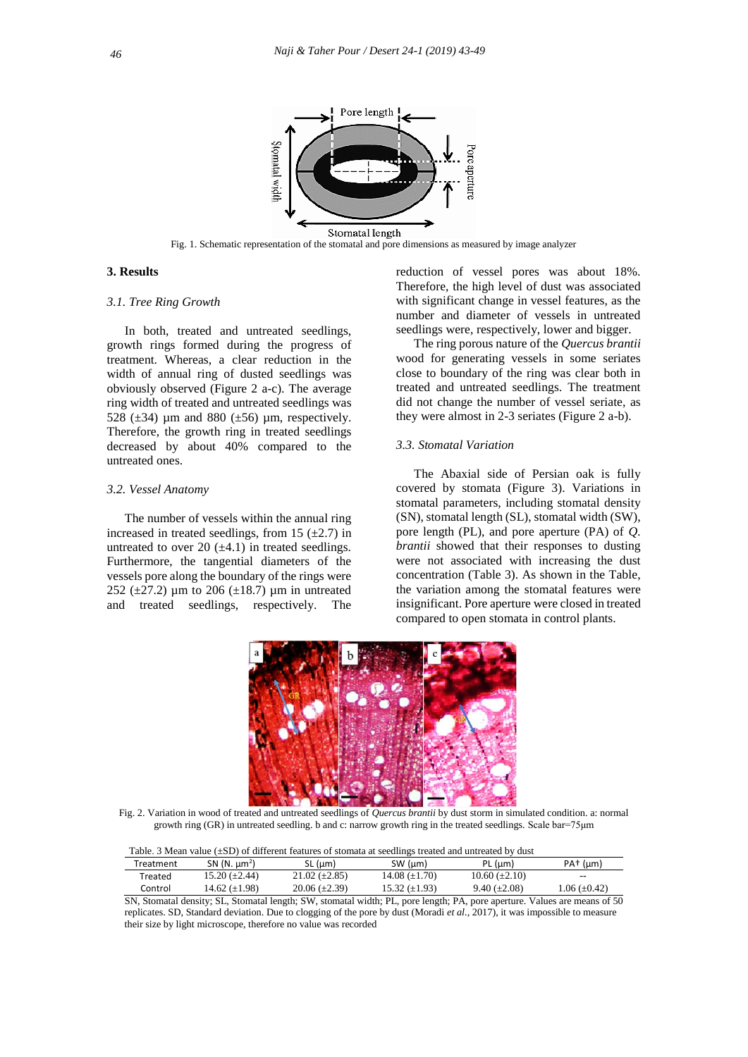

Fig. 1. Schematic representation of the stomatal and pore dimensions as measured by image analyzer

### **3. Results**

### *3.1. Tree Ring Growth*

In both, treated and untreated seedlings, growth rings formed during the progress of treatment. Whereas, a clear reduction in the width of annual ring of dusted seedlings was obviously observed (Figure 2 a-c). The average ring width of treated and untreated seedlings was 528 ( $\pm$ 34) µm and 880 ( $\pm$ 56) µm, respectively. Therefore, the growth ring in treated seedlings decreased by about 40% compared to the untreated ones.

#### *3.2. Vessel Anatomy*

The number of vessels within the annual ring increased in treated seedlings, from 15  $(\pm 2.7)$  in untreated to over 20  $(\pm 4.1)$  in treated seedlings. Furthermore, the tangential diameters of the vessels pore along the boundary of the rings were 252 ( $\pm$ 27.2) µm to 206 ( $\pm$ 18.7) µm in untreated and treated seedlings, respectively. The

reduction of vessel pores was about 18%. Therefore, the high level of dust was associated with significant change in vessel features, as the number and diameter of vessels in untreated seedlings were, respectively, lower and bigger.

The ring porous nature of the *Quercus brantii* wood for generating vessels in some seriates close to boundary of the ring was clear both in treated and untreated seedlings. The treatment did not change the number of vessel seriate, as they were almost in 2-3 seriates (Figure 2 a-b).

# *3.3. Stomatal Variation*

The Abaxial side of Persian oak is fully covered by stomata (Figure 3). Variations in stomatal parameters, including stomatal density (SN), stomatal length (SL), stomatal width (SW), pore length (PL), and pore aperture (PA) of *Q. brantii* showed that their responses to dusting were not associated with increasing the dust concentration (Table 3). As shown in the Table, the variation among the stomatal features were insignificant. Pore aperture were closed in treated compared to open stomata in control plants.



Fig. 2. Variation in wood of treated and untreated seedlings of *Quercus brantii* by dust storm in simulated condition. a: normal growth ring (GR) in untreated seedling. b and c: narrow growth ring in the treated seedlings. Scale bar=75μm

| Table. 3 Mean value $(\pm SD)$ of different features of stomata at seedlings treated and untreated by dust |                      |                      |                      |                      |                     |  |
|------------------------------------------------------------------------------------------------------------|----------------------|----------------------|----------------------|----------------------|---------------------|--|
| Treatment                                                                                                  | SN $(N. \mu m^2)$    | SL (um)              | SW (um)              | PL (um)              | $PA+$ (µm)          |  |
| Treated                                                                                                    | $15.20 \ (\pm 2.44)$ | $21.02 \ (\pm 2.85)$ | $14.08 (\pm 1.70)$   | $10.60 \ (\pm 2.10)$ | $- -$               |  |
| Control                                                                                                    | 14.62 $(\pm 1.98)$   | $20.06 \ (\pm 2.39)$ | $15.32 \ (\pm 1.93)$ | $9.40(\pm2.08)$      | $1.06 \ (\pm 0.42)$ |  |

SN, Stomatal density; SL, Stomatal length; SW, stomatal width; PL, pore length; PA, pore aperture. Values are means of 50 replicates. SD, Standard deviation. Due to clogging of the pore by dust (Moradi *et al.,* 2017), it was impossible to measure their size by light microscope, therefore no value was recorded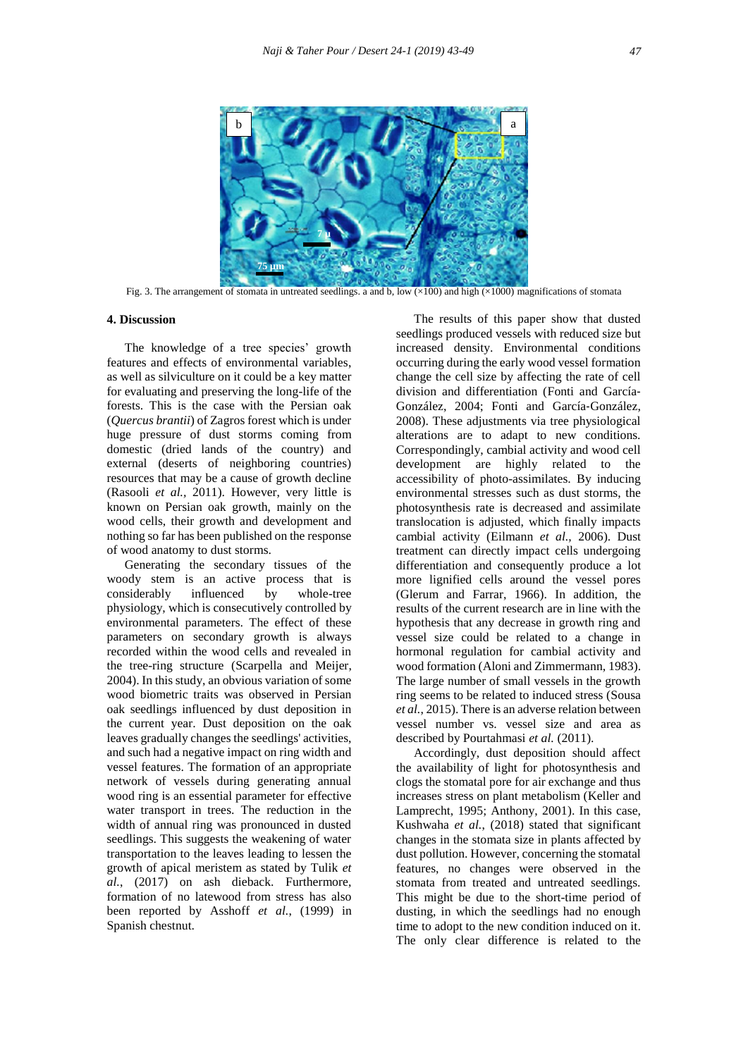

Fig. 3. The arrangement of stomata in untreated seedlings. a and b, low  $(\times 100)$  and high  $(\times 1000)$  magnifications of stomata

#### **4. Discussion**

The knowledge of a tree species' growth features and effects of environmental variables, as well as silviculture on it could be a key matter for evaluating and preserving the long-life of the forests. This is the case with the Persian oak (*Quercus brantii*) of Zagros forest which is under huge pressure of dust storms coming from domestic (dried lands of the country) and external (deserts of neighboring countries) resources that may be a cause of growth decline (Rasooli *et al.,* 2011). However, very little is known on Persian oak growth, mainly on the wood cells, their growth and development and nothing so far has been published on the response of wood anatomy to dust storms.

Generating the secondary tissues of the woody stem is an active process that is considerably influenced by whole-tree physiology, which is consecutively controlled by environmental parameters. The effect of these parameters on secondary growth is always recorded within the wood cells and revealed in the tree-ring structure (Scarpella and Meijer, 2004). In this study, an obvious variation of some wood biometric traits was observed in Persian oak seedlings influenced by dust deposition in the current year. Dust deposition on the oak leaves gradually changes the seedlings' activities, and such had a negative impact on ring width and vessel features. The formation of an appropriate network of vessels during generating annual wood ring is an essential parameter for effective water transport in trees. The reduction in the width of annual ring was pronounced in dusted seedlings. This suggests the weakening of water transportation to the leaves leading to lessen the growth of apical meristem as stated by Tulik *et al.*, (2017) on ash dieback. Furthermore, formation of no latewood from stress has also been reported by Asshoff *et al.*, (1999) in Spanish chestnut.

The results of this paper show that dusted seedlings produced vessels with reduced size but increased density. Environmental conditions occurring during the early wood vessel formation change the cell size by affecting the rate of cell division and differentiation (Fonti and García‐ González, 2004; Fonti and García‐González, 2008). These adjustments via tree physiological alterations are to adapt to new conditions. Correspondingly, cambial activity and wood cell development are highly related to the accessibility of photo-assimilates. By inducing environmental stresses such as dust storms, the photosynthesis rate is decreased and assimilate translocation is adjusted, which finally impacts cambial activity (Eilmann *et al.,* 2006). Dust treatment can directly impact cells undergoing differentiation and consequently produce a lot more lignified cells around the vessel pores (Glerum and Farrar, 1966). In addition, the results of the current research are in line with the hypothesis that any decrease in growth ring and vessel size could be related to a change in hormonal regulation for cambial activity and wood formation (Aloni and Zimmermann, 1983). The large number of small vessels in the growth ring seems to be related to induced stress (Sousa *et al.*, 2015). There is an adverse relation between vessel number vs. vessel size and area as described by Pourtahmasi *et al.* (2011).

Accordingly, dust deposition should affect the availability of light for photosynthesis and clogs the stomatal pore for air exchange and thus increases stress on plant metabolism (Keller and Lamprecht, 1995; Anthony, 2001). In this case, Kushwaha *et al.*, (2018) stated that significant changes in the stomata size in plants affected by dust pollution. However, concerning the stomatal features, no changes were observed in the stomata from treated and untreated seedlings. This might be due to the short-time period of dusting, in which the seedlings had no enough time to adopt to the new condition induced on it. The only clear difference is related to the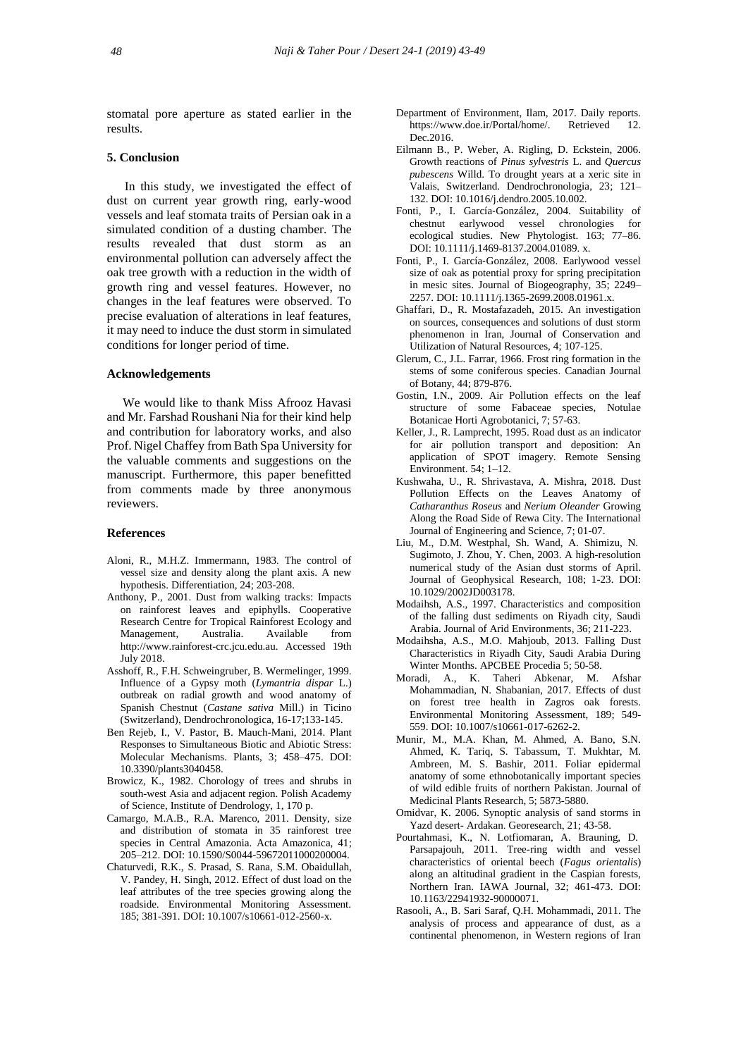stomatal pore aperture as stated earlier in the results.

#### **5. Conclusion**

In this study, we investigated the effect of dust on current year growth ring, early-wood vessels and leaf stomata traits of Persian oak in a simulated condition of a dusting chamber. The results revealed that dust storm as an environmental pollution can adversely affect the oak tree growth with a reduction in the width of growth ring and vessel features. However, no changes in the leaf features were observed. To precise evaluation of alterations in leaf features, it may need to induce the dust storm in simulated conditions for longer period of time.

### **Acknowledgements**

 We would like to thank Miss Afrooz Havasi and Mr. Farshad Roushani Nia for their kind help and contribution for laboratory works, and also Prof. Nigel Chaffey from Bath Spa University for the valuable comments and suggestions on the manuscript. Furthermore, this paper benefitted from comments made by three anonymous reviewers.

#### **References**

- Aloni, R., M.H.Z. Immermann, 1983. The control of vessel size and density along the plant axis. A new hypothesis. Differentiation, 24; 203-208.
- Anthony, P., 2001. Dust from walking tracks: Impacts on rainforest leaves and epiphylls. Cooperative Research Centre for Tropical Rainforest Ecology and Management, Australia. Available from http://www.rainforest-crc.jcu.edu.au. Accessed 19th July 2018.
- Asshoff, R., F.H. Schweingruber, B. Wermelinger, 1999. Influence of a Gypsy moth (*Lymantria dispar* L.) outbreak on radial growth and wood anatomy of Spanish Chestnut (*Castane sativa* Mill.) in Ticino (Switzerland), Dendrochronologica, 16-17;133-145.
- Ben Rejeb, I., V. Pastor, B. Mauch-Mani, 2014. Plant Responses to Simultaneous Biotic and Abiotic Stress: Molecular Mechanisms. Plants, 3; 458–475. DOI: 10.3390/plants3040458.
- Browicz, K., 1982. Chorology of trees and shrubs in south-west Asia and adjacent region. Polish Academy of Science, Institute of Dendrology, 1, 170 p.
- Camargo, M.A.B., R.A. Marenco, 2011. Density, size and distribution of stomata in 35 rainforest tree species in Central Amazonia. Acta Amazonica, 41; 205–212. DOI: 10.1590/S0044-59672011000200004.
- Chaturvedi, R.K., S. Prasad, S. Rana, S.M. Obaidullah, V. Pandey, H. Singh, 2012. Effect of dust load on the leaf attributes of the tree species growing along the roadside. Environmental Monitoring Assessment. 185; 381-391. DOI: 10.1007/s10661-012-2560-x.
- Department of Environment, Ilam, 2017. Daily reports. https://www.doe.ir/Portal/home/. Retrieved 12. Dec.2016.
- Eilmann B., P. Weber, A. Rigling, D. Eckstein, 2006. Growth reactions of *Pinus sylvestris* L. and *Quercus pubescens* Willd. To drought years at a xeric site in Valais, Switzerland. Dendrochronologia, 23; 121– 132. DOI: 10.1016/j.dendro.2005.10.002.
- Fonti, P., I. García‐González, 2004. Suitability of chestnut earlywood vessel chronologies for ecological studies. New Phytologist. 163; 77–86. DOI: 10.1111/j.1469-8137.2004.01089. x.
- Fonti, P., I. García‐González, 2008. Earlywood vessel size of oak as potential proxy for spring precipitation in mesic sites. Journal of Biogeography, 35; 2249– 2257. DOI: 10.1111/j.1365-2699.2008.01961.x.
- Ghaffari, D., R. Mostafazadeh, 2015. An investigation on sources, consequences and solutions of dust storm phenomenon in Iran, Journal of Conservation and Utilization of Natural Resources, 4; 107-125.
- Glerum, C., J.L. Farrar, 1966. Frost ring formation in the stems of some coniferous species. Canadian Journal of Botany, 44; 879-876.
- Gostin, I.N., 2009. Air Pollution effects on the leaf structure of some Fabaceae species, Notulae Botanicae Horti Agrobotanici, 7; 57-63.
- Keller, J., R. Lamprecht, 1995. Road dust as an indicator for air pollution transport and deposition: An application of SPOT imagery. Remote Sensing Environment. 54; 1–12.
- Kushwaha, U., R. Shrivastava, A. Mishra, 2018. Dust Pollution Effects on the Leaves Anatomy of *Catharanthus Roseus* and *Nerium Oleander* Growing Along the Road Side of Rewa City. The International Journal of Engineering and Science, 7; 01-07.
- Liu, M., D.M. Westphal, Sh. Wand, A. Shimizu, N. Sugimoto, J. Zhou, Y. Chen, 2003. A high-resolution numerical study of the Asian dust storms of April. Journal of Geophysical Research, 108; 1-23. DOI: 10.1029/2002JD003178.
- Modaihsh, A.S., 1997. Characteristics and composition of the falling dust sediments on Riyadh city, Saudi Arabia. Journal of Arid Environments, 36; 211-223.
- Modaihsha, A.S., M.O. Mahjoub, 2013. Falling Dust Characteristics in Riyadh City, Saudi Arabia During Winter Months. APCBEE Procedia 5; 50-58.
- Moradi, A., K. Taheri Abkenar, M. Afshar Mohammadian, N. Shabanian, 2017. Effects of dust on forest tree health in Zagros oak forests. Environmental Monitoring Assessment, 189; 549- 559. DOI: 10.1007/s10661-017-6262-2.
- Munir, M., M.A. Khan, M. Ahmed, A. Bano, S.N. Ahmed, K. Tariq, S. Tabassum, T. Mukhtar, M. Ambreen, M. S. Bashir, 2011. Foliar epidermal anatomy of some ethnobotanically important species of wild edible fruits of northern Pakistan. Journal of Medicinal Plants Research, 5; 5873-5880.
- Omidvar, K. 2006. Synoptic analysis of sand storms in Yazd desert- Ardakan. Georesearch, 21; 43-58.
- Pourtahmasi, K., N. Lotfiomaran, A. Brauning, D. Parsapajouh, 2011. Tree-ring width and vessel characteristics of oriental beech (*Fagus orientalis*) along an altitudinal gradient in the Caspian forests, Northern Iran. IAWA Journal, 32; 461-473. DOI: 10.1163/22941932-90000071.
- Rasooli, A., B. Sari Saraf, Q.H. Mohammadi, 2011. The analysis of process and appearance of dust, as a continental phenomenon, in Western regions of Iran